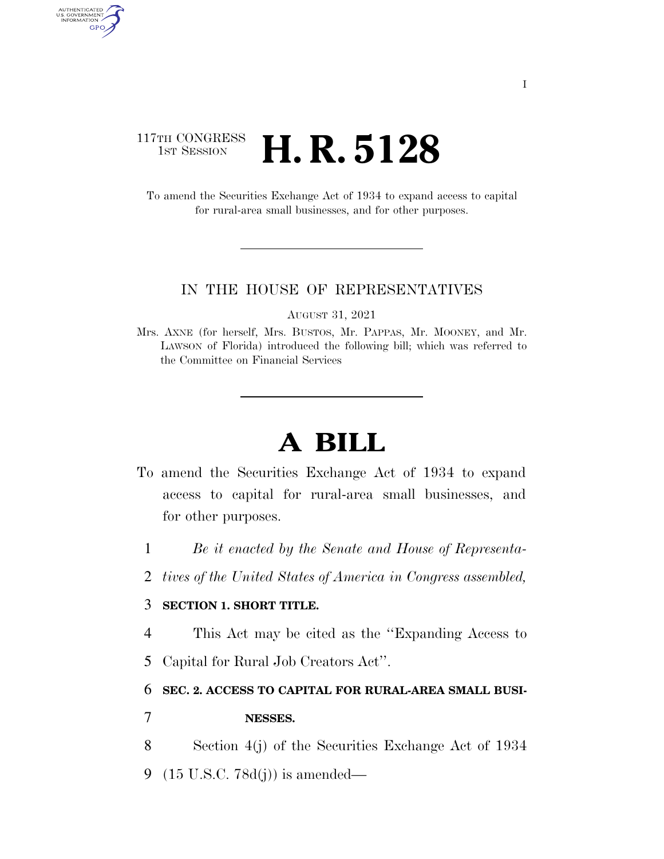## 117TH CONGRESS <sup>TH CONGRESS</sup> **H. R. 5128**

AUTHENTICATED<br>U.S. GOVERNMENT<br>INFORMATION GPO

> To amend the Securities Exchange Act of 1934 to expand access to capital for rural-area small businesses, and for other purposes.

#### IN THE HOUSE OF REPRESENTATIVES

AUGUST 31, 2021

# **A BILL**

- To amend the Securities Exchange Act of 1934 to expand access to capital for rural-area small businesses, and for other purposes.
	- 1 *Be it enacted by the Senate and House of Representa-*
	- 2 *tives of the United States of America in Congress assembled,*

### 3 **SECTION 1. SHORT TITLE.**

4 This Act may be cited as the ''Expanding Access to

5 Capital for Rural Job Creators Act''.

6 **SEC. 2. ACCESS TO CAPITAL FOR RURAL-AREA SMALL BUSI-**

### 7 **NESSES.**

- 8 Section 4(j) of the Securities Exchange Act of 1934
- 9 (15 U.S.C. 78d(j)) is amended—

Mrs. AXNE (for herself, Mrs. BUSTOS, Mr. PAPPAS, Mr. MOONEY, and Mr. LAWSON of Florida) introduced the following bill; which was referred to the Committee on Financial Services